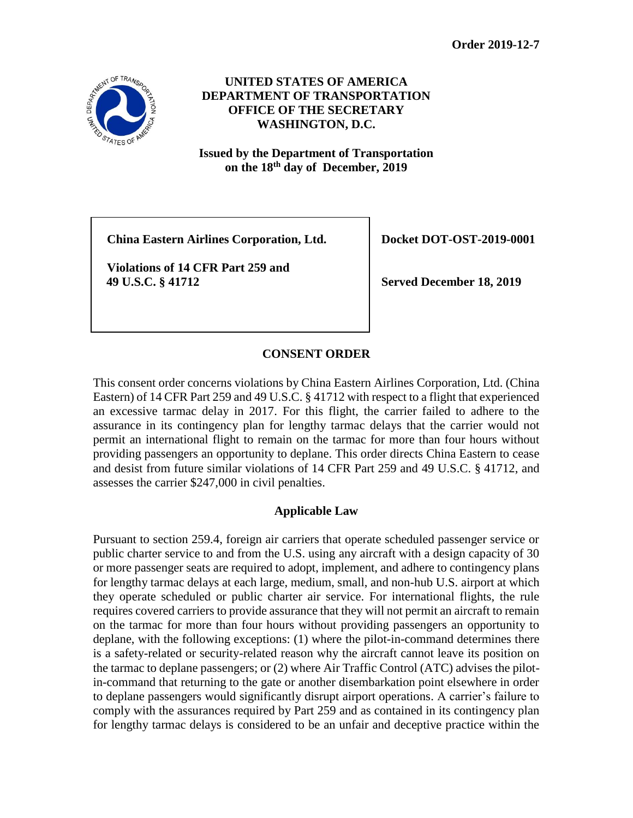

**UNITED STATES OF AMERICA DEPARTMENT OF TRANSPORTATION OFFICE OF THE SECRETARY WASHINGTON, D.C.**

**Issued by the Department of Transportation on the 18 th day of December, 2019**

**China Eastern Airlines Corporation, Ltd. Docket DOT-OST-2019-0001**

**Violations of 14 CFR Part 259 and 49 U.S.C. § 41712 Served December 18, 2019**

# **CONSENT ORDER**

This consent order concerns violations by China Eastern Airlines Corporation, Ltd. (China Eastern) of 14 CFR Part 259 and 49 U.S.C. § 41712 with respect to a flight that experienced an excessive tarmac delay in 2017. For this flight, the carrier failed to adhere to the assurance in its contingency plan for lengthy tarmac delays that the carrier would not permit an international flight to remain on the tarmac for more than four hours without providing passengers an opportunity to deplane. This order directs China Eastern to cease and desist from future similar violations of 14 CFR Part 259 and 49 U.S.C. § 41712, and assesses the carrier \$247,000 in civil penalties.

# **Applicable Law**

Pursuant to section 259.4, foreign air carriers that operate scheduled passenger service or public charter service to and from the U.S. using any aircraft with a design capacity of 30 or more passenger seats are required to adopt, implement, and adhere to contingency plans for lengthy tarmac delays at each large, medium, small, and non-hub U.S. airport at which they operate scheduled or public charter air service. For international flights, the rule requires covered carriers to provide assurance that they will not permit an aircraft to remain on the tarmac for more than four hours without providing passengers an opportunity to deplane, with the following exceptions: (1) where the pilot-in-command determines there is a safety-related or security-related reason why the aircraft cannot leave its position on the tarmac to deplane passengers; or (2) where Air Traffic Control (ATC) advises the pilotin-command that returning to the gate or another disembarkation point elsewhere in order to deplane passengers would significantly disrupt airport operations. A carrier's failure to comply with the assurances required by Part 259 and as contained in its contingency plan for lengthy tarmac delays is considered to be an unfair and deceptive practice within the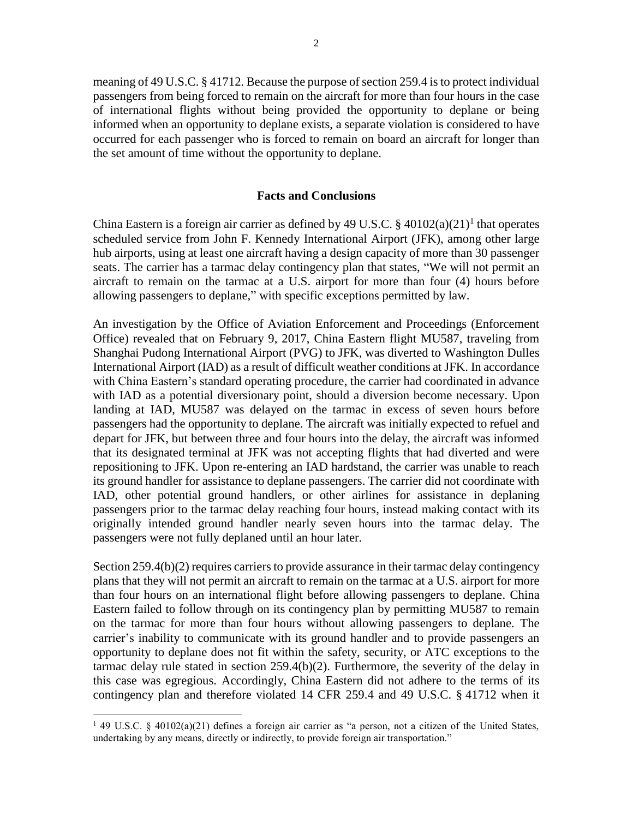meaning of 49 U.S.C. § 41712. Because the purpose of section 259.4 is to protect individual passengers from being forced to remain on the aircraft for more than four hours in the case of international flights without being provided the opportunity to deplane or being informed when an opportunity to deplane exists, a separate violation is considered to have occurred for each passenger who is forced to remain on board an aircraft for longer than the set amount of time without the opportunity to deplane.

### **Facts and Conclusions**

China Eastern is a foreign air carrier as defined by 49 U.S.C.  $\S$  40102(a)(21)<sup>1</sup> that operates scheduled service from John F. Kennedy International Airport (JFK), among other large hub airports, using at least one aircraft having a design capacity of more than 30 passenger seats. The carrier has a tarmac delay contingency plan that states, "We will not permit an aircraft to remain on the tarmac at a U.S. airport for more than four (4) hours before allowing passengers to deplane," with specific exceptions permitted by law.

An investigation by the Office of Aviation Enforcement and Proceedings (Enforcement Office) revealed that on February 9, 2017, China Eastern flight MU587, traveling from Shanghai Pudong International Airport (PVG) to JFK, was diverted to Washington Dulles International Airport (IAD) as a result of difficult weather conditions at JFK. In accordance with China Eastern's standard operating procedure, the carrier had coordinated in advance with IAD as a potential diversionary point, should a diversion become necessary. Upon landing at IAD, MU587 was delayed on the tarmac in excess of seven hours before passengers had the opportunity to deplane. The aircraft was initially expected to refuel and depart for JFK, but between three and four hours into the delay, the aircraft was informed that its designated terminal at JFK was not accepting flights that had diverted and were repositioning to JFK. Upon re-entering an IAD hardstand, the carrier was unable to reach its ground handler for assistance to deplane passengers. The carrier did not coordinate with IAD, other potential ground handlers, or other airlines for assistance in deplaning passengers prior to the tarmac delay reaching four hours, instead making contact with its originally intended ground handler nearly seven hours into the tarmac delay. The passengers were not fully deplaned until an hour later.

Section 259.4(b)(2) requires carriers to provide assurance in their tarmac delay contingency plans that they will not permit an aircraft to remain on the tarmac at a U.S. airport for more than four hours on an international flight before allowing passengers to deplane. China Eastern failed to follow through on its contingency plan by permitting MU587 to remain on the tarmac for more than four hours without allowing passengers to deplane. The carrier's inability to communicate with its ground handler and to provide passengers an opportunity to deplane does not fit within the safety, security, or ATC exceptions to the tarmac delay rule stated in section 259.4(b)(2). Furthermore, the severity of the delay in this case was egregious. Accordingly, China Eastern did not adhere to the terms of its contingency plan and therefore violated 14 CFR 259.4 and 49 U.S.C. § 41712 when it

**<sup>1</sup> 49 U.S.C. § 40102(a)(21) defines a foreign air carrier as "a person, not a citizen of the United States, undertaking by any means, directly or indirectly, to provide foreign air transportation."**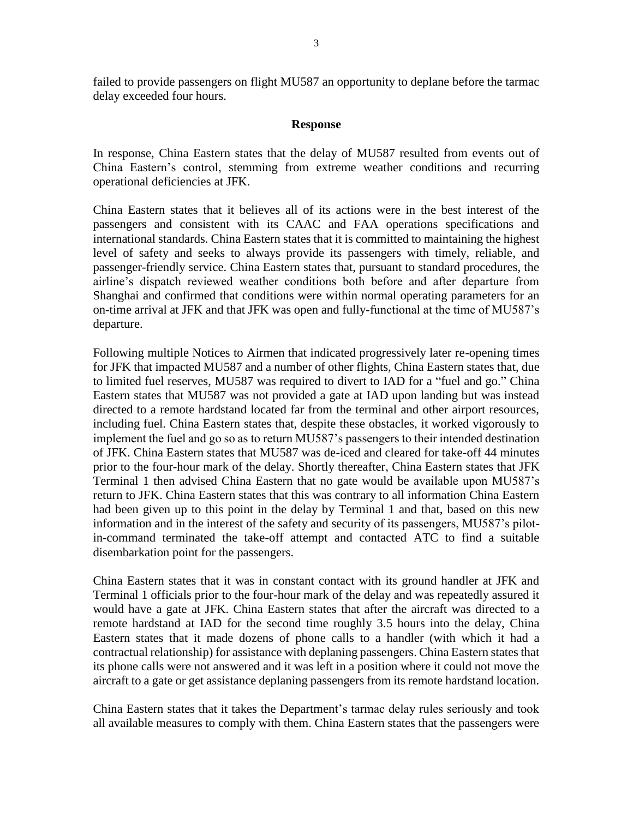failed to provide passengers on flight MU587 an opportunity to deplane before the tarmac delay exceeded four hours.

#### **Response**

In response, China Eastern states that the delay of MU587 resulted from events out of China Eastern's control, stemming from extreme weather conditions and recurring operational deficiencies at JFK.

China Eastern states that it believes all of its actions were in the best interest of the passengers and consistent with its CAAC and FAA operations specifications and international standards. China Eastern states that it is committed to maintaining the highest level of safety and seeks to always provide its passengers with timely, reliable, and passenger-friendly service. China Eastern states that, pursuant to standard procedures, the airline's dispatch reviewed weather conditions both before and after departure from Shanghai and confirmed that conditions were within normal operating parameters for an on-time arrival at JFK and that JFK was open and fully-functional at the time of MU587's departure.

Following multiple Notices to Airmen that indicated progressively later re-opening times for JFK that impacted MU587 and a number of other flights, China Eastern states that, due to limited fuel reserves, MU587 was required to divert to IAD for a "fuel and go." China Eastern states that MU587 was not provided a gate at IAD upon landing but was instead directed to a remote hardstand located far from the terminal and other airport resources, including fuel. China Eastern states that, despite these obstacles, it worked vigorously to implement the fuel and go so as to return MU587's passengers to their intended destination of JFK. China Eastern states that MU587 was de-iced and cleared for take-off 44 minutes prior to the four-hour mark of the delay. Shortly thereafter, China Eastern states that JFK Terminal 1 then advised China Eastern that no gate would be available upon MU587's return to JFK. China Eastern states that this was contrary to all information China Eastern had been given up to this point in the delay by Terminal 1 and that, based on this new information and in the interest of the safety and security of its passengers, MU587's pilotin-command terminated the take-off attempt and contacted ATC to find a suitable disembarkation point for the passengers.

China Eastern states that it was in constant contact with its ground handler at JFK and Terminal 1 officials prior to the four-hour mark of the delay and was repeatedly assured it would have a gate at JFK. China Eastern states that after the aircraft was directed to a remote hardstand at IAD for the second time roughly 3.5 hours into the delay, China Eastern states that it made dozens of phone calls to a handler (with which it had a contractual relationship) for assistance with deplaning passengers. China Eastern states that its phone calls were not answered and it was left in a position where it could not move the aircraft to a gate or get assistance deplaning passengers from its remote hardstand location.

China Eastern states that it takes the Department's tarmac delay rules seriously and took all available measures to comply with them. China Eastern states that the passengers were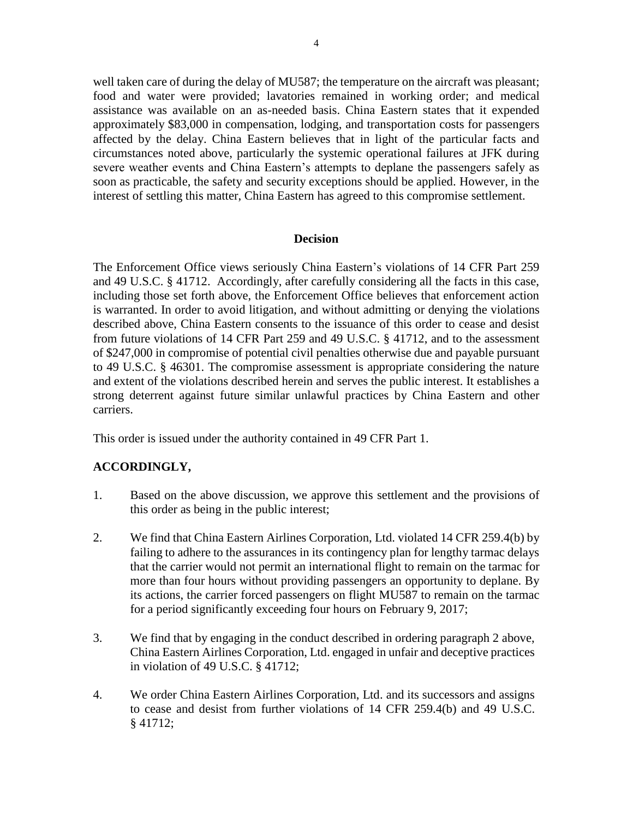well taken care of during the delay of MU587; the temperature on the aircraft was pleasant; food and water were provided; lavatories remained in working order; and medical assistance was available on an as-needed basis. China Eastern states that it expended approximately \$83,000 in compensation, lodging, and transportation costs for passengers affected by the delay. China Eastern believes that in light of the particular facts and circumstances noted above, particularly the systemic operational failures at JFK during severe weather events and China Eastern's attempts to deplane the passengers safely as soon as practicable, the safety and security exceptions should be applied. However, in the interest of settling this matter, China Eastern has agreed to this compromise settlement.

### **Decision**

The Enforcement Office views seriously China Eastern's violations of 14 CFR Part 259 and 49 U.S.C. § 41712. Accordingly, after carefully considering all the facts in this case, including those set forth above, the Enforcement Office believes that enforcement action is warranted. In order to avoid litigation, and without admitting or denying the violations described above, China Eastern consents to the issuance of this order to cease and desist from future violations of 14 CFR Part 259 and 49 U.S.C. § 41712, and to the assessment of \$247,000 in compromise of potential civil penalties otherwise due and payable pursuant to 49 U.S.C. § 46301. The compromise assessment is appropriate considering the nature and extent of the violations described herein and serves the public interest. It establishes a strong deterrent against future similar unlawful practices by China Eastern and other carriers.

This order is issued under the authority contained in 49 CFR Part 1.

# **ACCORDINGLY,**

- 1. Based on the above discussion, we approve this settlement and the provisions of this order as being in the public interest;
- 2. We find that China Eastern Airlines Corporation, Ltd. violated 14 CFR 259.4(b) by failing to adhere to the assurances in its contingency plan for lengthy tarmac delays that the carrier would not permit an international flight to remain on the tarmac for more than four hours without providing passengers an opportunity to deplane. By its actions, the carrier forced passengers on flight MU587 to remain on the tarmac for a period significantly exceeding four hours on February 9, 2017;
- 3. We find that by engaging in the conduct described in ordering paragraph 2 above, China Eastern Airlines Corporation, Ltd. engaged in unfair and deceptive practices in violation of 49 U.S.C. § 41712;
- 4. We order China Eastern Airlines Corporation, Ltd. and its successors and assigns to cease and desist from further violations of 14 CFR 259.4(b) and 49 U.S.C. § 41712;